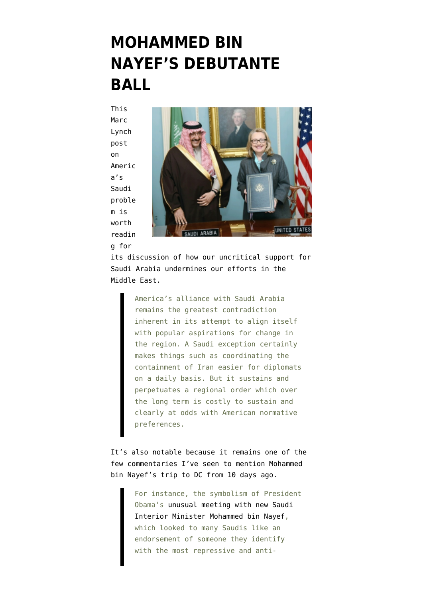## **[MOHAMMED BIN](https://www.emptywheel.net/2013/01/26/mohammed-bin-nayefs-debutante-ball/) [NAYEF'S DEBUTANTE](https://www.emptywheel.net/2013/01/26/mohammed-bin-nayefs-debutante-ball/) [BALL](https://www.emptywheel.net/2013/01/26/mohammed-bin-nayefs-debutante-ball/)**

This [Marc](http://www.foreignpolicy.com/articles/2013/01/24/america_s_saudi__arabia_problem_barack_obama?page=full) [Lynch](http://www.foreignpolicy.com/articles/2013/01/24/america_s_saudi__arabia_problem_barack_obama?page=full) [post](http://www.foreignpolicy.com/articles/2013/01/24/america_s_saudi__arabia_problem_barack_obama?page=full) [on](http://www.foreignpolicy.com/articles/2013/01/24/america_s_saudi__arabia_problem_barack_obama?page=full) [Americ](http://www.foreignpolicy.com/articles/2013/01/24/america_s_saudi__arabia_problem_barack_obama?page=full) [a's](http://www.foreignpolicy.com/articles/2013/01/24/america_s_saudi__arabia_problem_barack_obama?page=full) [Saudi](http://www.foreignpolicy.com/articles/2013/01/24/america_s_saudi__arabia_problem_barack_obama?page=full) [proble](http://www.foreignpolicy.com/articles/2013/01/24/america_s_saudi__arabia_problem_barack_obama?page=full) [m](http://www.foreignpolicy.com/articles/2013/01/24/america_s_saudi__arabia_problem_barack_obama?page=full) is worth readin g for



its discussion of how our uncritical support for Saudi Arabia undermines our efforts in the Middle East.

> America's alliance with Saudi Arabia remains the greatest contradiction inherent in its attempt to align itself with popular aspirations for change in the region. A Saudi exception certainly makes things such as coordinating the containment of Iran easier for diplomats on a daily basis. But it sustains and perpetuates a regional order which over the long term is costly to sustain and clearly at odds with American normative preferences.

It's also notable because it remains one of the few commentaries I've seen to mention Mohammed bin Nayef's trip to DC from 10 days ago.

> For instance, the symbolism of President Obama's [unusual meeting with new Saudi](http://news.yahoo.com/obama-meets-saudi-interior-minister-white-house-211614295.html) [Interior Minister Mohammed bin Nayef,](http://news.yahoo.com/obama-meets-saudi-interior-minister-white-house-211614295.html) which looked to many Saudis like an endorsement of someone they identify with the most repressive and anti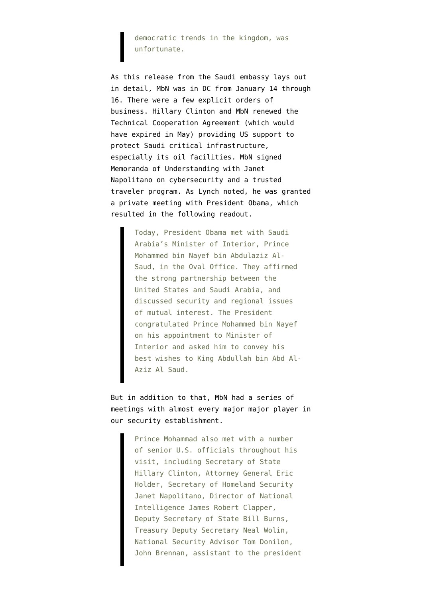democratic trends in the kingdom, was unfortunate.

As this [release](http://www.saudiembassy.net/latest_news/news01171301.aspx) from the Saudi embassy lays out in detail, MbN was in DC from January 14 through 16. There were a few explicit orders of business. Hillary Clinton and MbN renewed the [Technical Cooperation Agreement](http://www.state.gov/documents/organization/109344.pdf) (which would have expired in May) providing US support to protect Saudi critical infrastructure, especially its oil facilities. MbN signed Memoranda of Understanding with Janet Napolitano [on cybersecurity and a trusted](http://www.dhs.gov/sites/default/files/publications/130116-joint-statement.pdf) [traveler program.](http://www.dhs.gov/sites/default/files/publications/130116-joint-statement.pdf) As Lynch noted, he was granted a private meeting with President Obama, which resulted in the following readout.

> Today, President Obama met with Saudi Arabia's Minister of Interior, Prince Mohammed bin Nayef bin Abdulaziz Al-Saud, in the Oval Office. They affirmed the strong partnership between the United States and Saudi Arabia, and discussed security and regional issues of mutual interest. The President congratulated Prince Mohammed bin Nayef on his appointment to Minister of Interior and asked him to convey his best wishes to King Abdullah bin Abd Al-Aziz Al Saud.

But in addition to that, MbN [had a series of](http://www.saudiembassy.net/latest_news/news01171301.aspx) [meetings](http://www.saudiembassy.net/latest_news/news01171301.aspx) with almost every major major player in our security establishment.

> Prince Mohammad also met with a number of senior U.S. officials throughout his visit, including Secretary of State Hillary Clinton, Attorney General Eric Holder, Secretary of Homeland Security Janet Napolitano, Director of National Intelligence James Robert Clapper, Deputy Secretary of State Bill Burns, Treasury Deputy Secretary Neal Wolin, National Security Advisor Tom Donilon, John Brennan, assistant to the president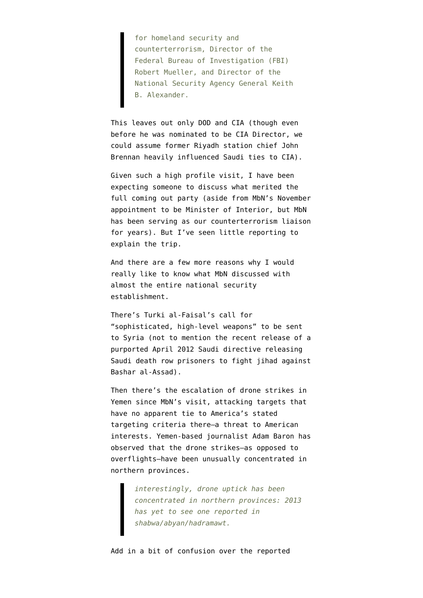for homeland security and counterterrorism, Director of the Federal Bureau of Investigation (FBI) Robert Mueller, and Director of the National Security Agency General Keith B. Alexander.

This leaves out only DOD and CIA (though even before he was nominated to be CIA Director, we could assume former Riyadh station chief John Brennan heavily influenced Saudi ties to CIA).

Given such a high profile visit, I have been expecting someone to discuss what merited the full coming out party (aside from MbN's [November](http://www.bbc.co.uk/news/world-middle-east-20209276) [appointment](http://www.bbc.co.uk/news/world-middle-east-20209276) to be Minister of Interior, but MbN has been serving as our counterterrorism liaison for years). But I've seen little reporting to explain the trip.

And there are a few more reasons why I would really like to know what MbN discussed with almost the entire national security establishment.

There's [Turki al-Faisal's call](http://www.reuters.com/article/2013/01/25/us-syria-crisis-saudi-idUSBRE90O0M120130125) for "sophisticated, high-level weapons" to be sent to Syria (not to mention the [recent release](http://www.matthewaid.com/post/41126966542/saudi-arabia-sent-condemned-prisoners-to-fight-in) of a purported April 2012 Saudi directive releasing Saudi death row prisoners to fight jihad against Bashar al-Assad).

Then there's the [escalation of drone strikes](http://www.latimes.com/news/world/worldnow/la-fg-wn-yemen-drone-strike-20130123,0,1996082.story) in Yemen since MbN's visit, attacking targets that have no apparent tie to America's stated targeting criteria there–a threat to American interests. Yemen-based journalist Adam Baron [has](https://twitter.com/adammbaron/status/294180587827240960) [observed](https://twitter.com/adammbaron/status/294180587827240960) that the drone strikes–as opposed to overflights–have been unusually concentrated in northern provinces.

> *interestingly, drone uptick has been concentrated in northern provinces: 2013 has yet to see one reported in shabwa/abyan/hadramawt.*

Add in a bit of confusion over the reported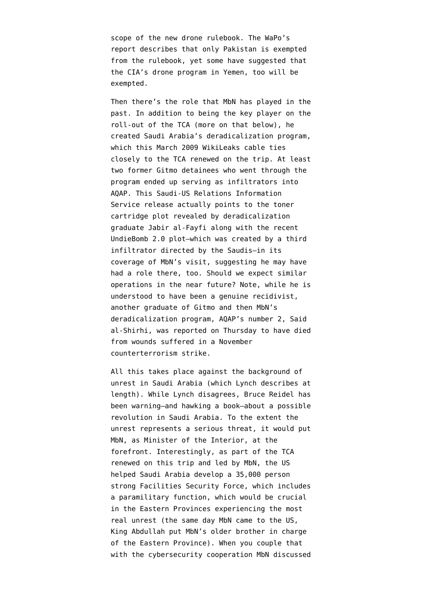scope of the new drone rulebook. The WaPo's report [describes](http://www.washingtonpost.com/world/national-security/cia-drone-strikes-will-get-pass-in-counterterrorism-playbook-officials-say/2013/01/19/ca169a20-618d-11e2-9940-6fc488f3fecd_print.html) that only Pakistan is exempted from the rulebook, yet some have [suggested](http://www.matthewaid.com/post/41017186091/obama-administration-exempts-drone-strikes-from) that the CIA's drone program in Yemen, too will be exempted.

Then there's the role that MbN has played in the past. In addition to being the key player on the roll-out of the TCA (more on that below), he created Saudi Arabia's deradicalization program, which this [March 2009 WikiLeaks cable](http://cablegatesearch.net/cable.php?id=09RIYADH408&q=technical-cooperation-agreement) ties closely to the TCA renewed on the trip. At least [two former Gitmo detainees](http://www.emptywheel.net/2012/03/06/remember-when-that-recidivist-jabir-al-fayfi-saved-american-lives/) who went through the program ended up serving as infiltrators into AQAP. This Saudi-US Relations Information Service release actually [points to](http://www.susris.com/2013/01/18/interior-minister-prince-nayef-on-washington-visit/) the toner cartridge plot revealed by deradicalization graduate Jabir al-Fayfi along with the recent UndieBomb 2.0 plot–which was created by a third infiltrator directed by the Saudis–in its coverage of MbN's visit, suggesting he may have had a role there, too. Should we expect similar operations in the near future? Note, while he is understood to have been a genuine recidivist, another graduate of Gitmo and then MbN's deradicalization program, AQAP's number 2, Said al-Shirhi, was [reported on Thursday](http://www.mcclatchydc.com/2013/01/24/180980/top-al-qaida-leader-in-yemen-saeed.html) to have died from wounds suffered in a November counterterrorism strike.

All this takes place against the background of unrest in Saudi Arabia (which Lynch describes at length). While Lynch disagrees, Bruce Reidel [has](http://www.brookings.edu/research/opinions/2013/01/25-saudi-arabia-riedel) [been warning](http://www.brookings.edu/research/opinions/2013/01/25-saudi-arabia-riedel)–and hawking a book–about a possible revolution in Saudi Arabia. To the extent the unrest represents a serious threat, it would put MbN, as Minister of the Interior, at the forefront. Interestingly, as part of the TCA renewed on this trip and led by MbN, the US [helped](http://cablegatesearch.net/cable.php?id=09RIYADH1557&q=office-of-program-management) Saudi Arabia develop a 35,000 person strong Facilities Security Force, which includes a paramilitary function, which would be crucial in the Eastern Provinces experiencing the most real unrest (the same day MbN came to the US, King Abdullah [put MbN's older brother in charge](http://www.reuters.com/article/2013/01/14/us-saudi-appointment-idUSBRE90D0FQ20130114) of the Eastern Province). When you couple that with the cybersecurity cooperation MbN discussed